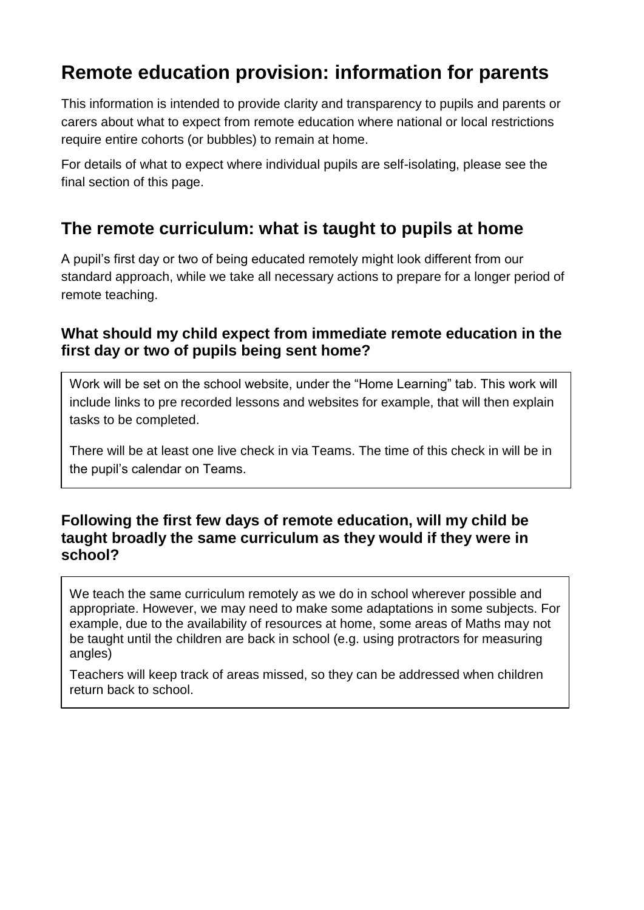# **Remote education provision: information for parents**

This information is intended to provide clarity and transparency to pupils and parents or carers about what to expect from remote education where national or local restrictions require entire cohorts (or bubbles) to remain at home.

For details of what to expect where individual pupils are self-isolating, please see the final section of this page.

## **The remote curriculum: what is taught to pupils at home**

A pupil's first day or two of being educated remotely might look different from our standard approach, while we take all necessary actions to prepare for a longer period of remote teaching.

### **What should my child expect from immediate remote education in the first day or two of pupils being sent home?**

Work will be set on the school website, under the "Home Learning" tab. This work will include links to pre recorded lessons and websites for example, that will then explain tasks to be completed.

There will be at least one live check in via Teams. The time of this check in will be in the pupil's calendar on Teams.

### **Following the first few days of remote education, will my child be taught broadly the same curriculum as they would if they were in school?**

We teach the same curriculum remotely as we do in school wherever possible and appropriate. However, we may need to make some adaptations in some subjects. For example, due to the availability of resources at home, some areas of Maths may not be taught until the children are back in school (e.g. using protractors for measuring angles)

Teachers will keep track of areas missed, so they can be addressed when children return back to school.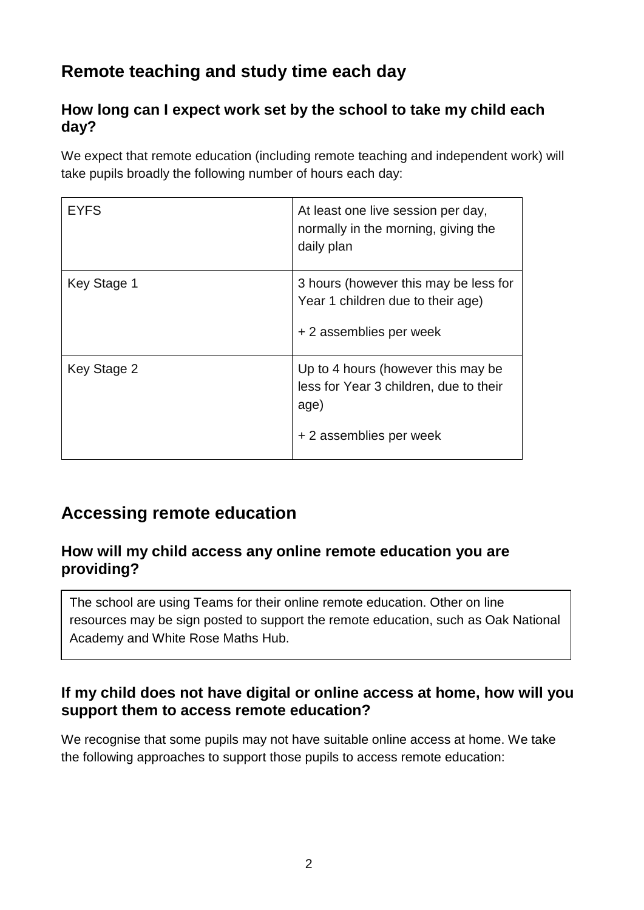# **Remote teaching and study time each day**

## **How long can I expect work set by the school to take my child each day?**

We expect that remote education (including remote teaching and independent work) will take pupils broadly the following number of hours each day:

| <b>EYFS</b> | At least one live session per day,<br>normally in the morning, giving the<br>daily plan                         |
|-------------|-----------------------------------------------------------------------------------------------------------------|
| Key Stage 1 | 3 hours (however this may be less for<br>Year 1 children due to their age)<br>+ 2 assemblies per week           |
| Key Stage 2 | Up to 4 hours (however this may be<br>less for Year 3 children, due to their<br>age)<br>+ 2 assemblies per week |

## **Accessing remote education**

### **How will my child access any online remote education you are providing?**

The school are using Teams for their online remote education. Other on line resources may be sign posted to support the remote education, such as Oak National Academy and White Rose Maths Hub.

## **If my child does not have digital or online access at home, how will you support them to access remote education?**

We recognise that some pupils may not have suitable online access at home. We take the following approaches to support those pupils to access remote education: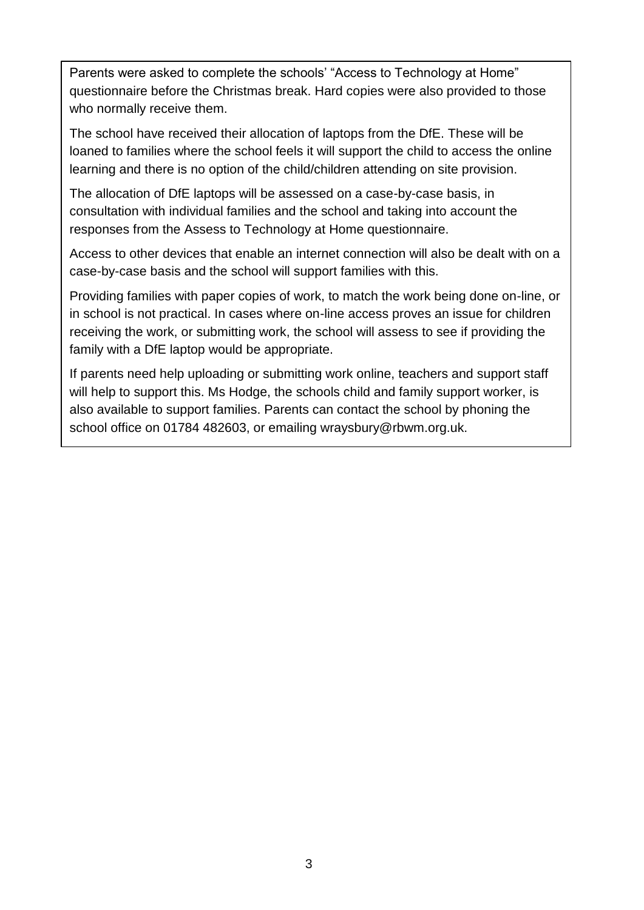Parents were asked to complete the schools' "Access to Technology at Home" questionnaire before the Christmas break. Hard copies were also provided to those who normally receive them.

The school have received their allocation of laptops from the DfE. These will be loaned to families where the school feels it will support the child to access the online learning and there is no option of the child/children attending on site provision.

The allocation of DfE laptops will be assessed on a case-by-case basis, in consultation with individual families and the school and taking into account the responses from the Assess to Technology at Home questionnaire.

Access to other devices that enable an internet connection will also be dealt with on a case-by-case basis and the school will support families with this.

Providing families with paper copies of work, to match the work being done on-line, or in school is not practical. In cases where on-line access proves an issue for children receiving the work, or submitting work, the school will assess to see if providing the family with a DfE laptop would be appropriate.

If parents need help uploading or submitting work online, teachers and support staff will help to support this. Ms Hodge, the schools child and family support worker, is also available to support families. Parents can contact the school by phoning the school office on 01784 482603, or emailing wraysbury@rbwm.org.uk.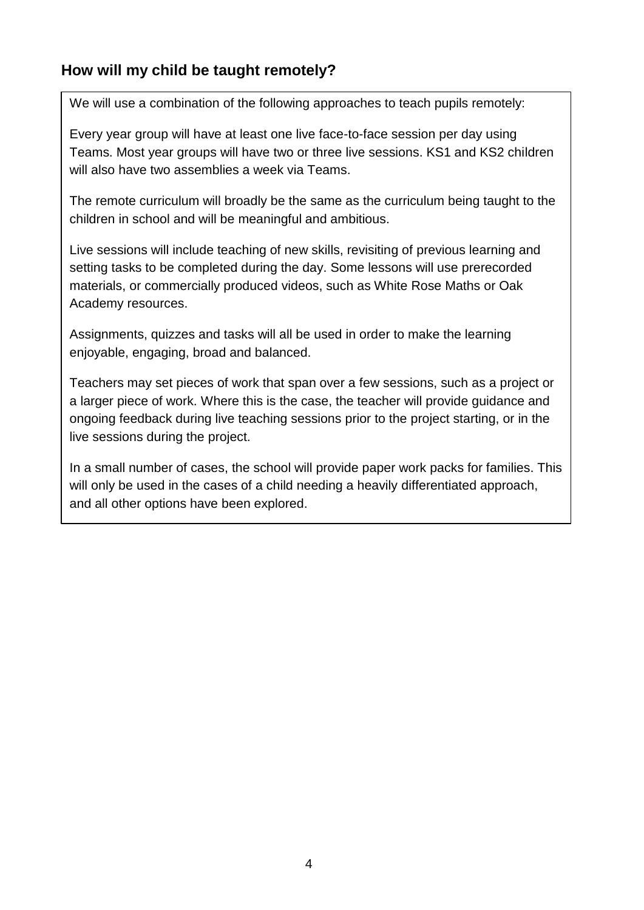## **How will my child be taught remotely?**

We will use a combination of the following approaches to teach pupils remotely:

Every year group will have at least one live face-to-face session per day using Teams. Most year groups will have two or three live sessions. KS1 and KS2 children will also have two assemblies a week via Teams.

The remote curriculum will broadly be the same as the curriculum being taught to the children in school and will be meaningful and ambitious.

Live sessions will include teaching of new skills, revisiting of previous learning and setting tasks to be completed during the day. Some lessons will use prerecorded materials, or commercially produced videos, such as White Rose Maths or Oak Academy resources.

Assignments, quizzes and tasks will all be used in order to make the learning enjoyable, engaging, broad and balanced.

Teachers may set pieces of work that span over a few sessions, such as a project or a larger piece of work. Where this is the case, the teacher will provide guidance and ongoing feedback during live teaching sessions prior to the project starting, or in the live sessions during the project.

In a small number of cases, the school will provide paper work packs for families. This will only be used in the cases of a child needing a heavily differentiated approach, and all other options have been explored.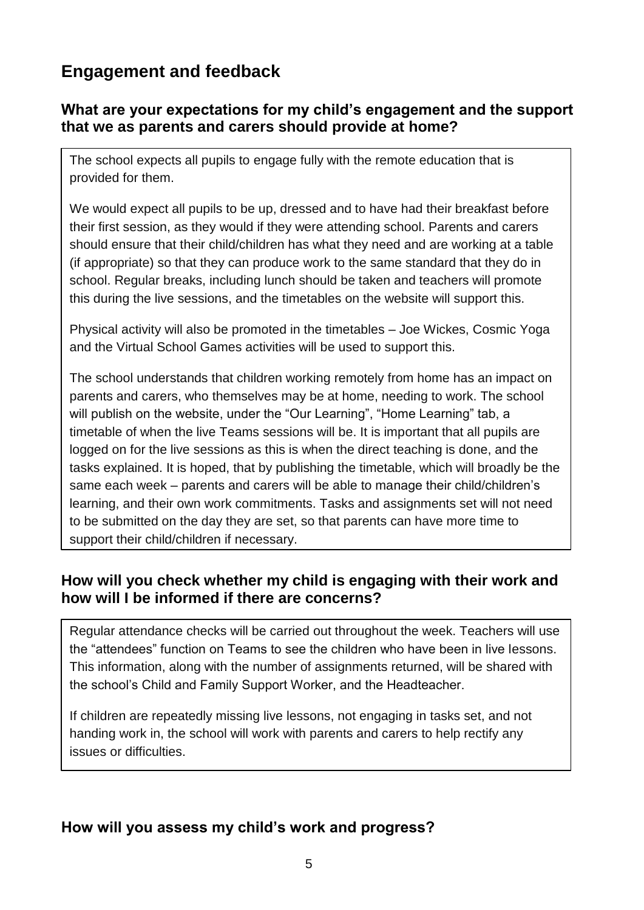## **Engagement and feedback**

### **What are your expectations for my child's engagement and the support that we as parents and carers should provide at home?**

The school expects all pupils to engage fully with the remote education that is provided for them.

We would expect all pupils to be up, dressed and to have had their breakfast before their first session, as they would if they were attending school. Parents and carers should ensure that their child/children has what they need and are working at a table (if appropriate) so that they can produce work to the same standard that they do in school. Regular breaks, including lunch should be taken and teachers will promote this during the live sessions, and the timetables on the website will support this.

Physical activity will also be promoted in the timetables – Joe Wickes, Cosmic Yoga and the Virtual School Games activities will be used to support this.

The school understands that children working remotely from home has an impact on parents and carers, who themselves may be at home, needing to work. The school will publish on the website, under the "Our Learning", "Home Learning" tab, a timetable of when the live Teams sessions will be. It is important that all pupils are logged on for the live sessions as this is when the direct teaching is done, and the tasks explained. It is hoped, that by publishing the timetable, which will broadly be the same each week – parents and carers will be able to manage their child/children's learning, and their own work commitments. Tasks and assignments set will not need to be submitted on the day they are set, so that parents can have more time to support their child/children if necessary.

### **How will you check whether my child is engaging with their work and how will I be informed if there are concerns?**

Regular attendance checks will be carried out throughout the week. Teachers will use the "attendees" function on Teams to see the children who have been in live lessons. This information, along with the number of assignments returned, will be shared with the school's Child and Family Support Worker, and the Headteacher.

If children are repeatedly missing live lessons, not engaging in tasks set, and not handing work in, the school will work with parents and carers to help rectify any issues or difficulties.

### **How will you assess my child's work and progress?**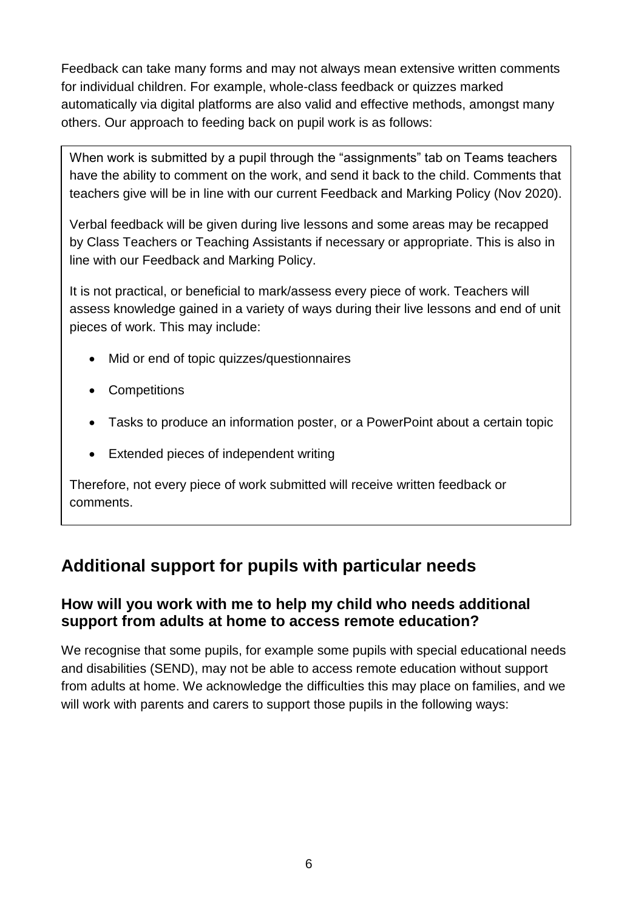Feedback can take many forms and may not always mean extensive written comments for individual children. For example, whole-class feedback or quizzes marked automatically via digital platforms are also valid and effective methods, amongst many others. Our approach to feeding back on pupil work is as follows:

When work is submitted by a pupil through the "assignments" tab on Teams teachers have the ability to comment on the work, and send it back to the child. Comments that teachers give will be in line with our current Feedback and Marking Policy (Nov 2020).

Verbal feedback will be given during live lessons and some areas may be recapped by Class Teachers or Teaching Assistants if necessary or appropriate. This is also in line with our Feedback and Marking Policy.

It is not practical, or beneficial to mark/assess every piece of work. Teachers will assess knowledge gained in a variety of ways during their live lessons and end of unit pieces of work. This may include:

- Mid or end of topic quizzes/questionnaires
- Competitions
- Tasks to produce an information poster, or a PowerPoint about a certain topic
- Extended pieces of independent writing

Therefore, not every piece of work submitted will receive written feedback or comments.

## **Additional support for pupils with particular needs**

## **How will you work with me to help my child who needs additional support from adults at home to access remote education?**

We recognise that some pupils, for example some pupils with special educational needs and disabilities (SEND), may not be able to access remote education without support from adults at home. We acknowledge the difficulties this may place on families, and we will work with parents and carers to support those pupils in the following ways: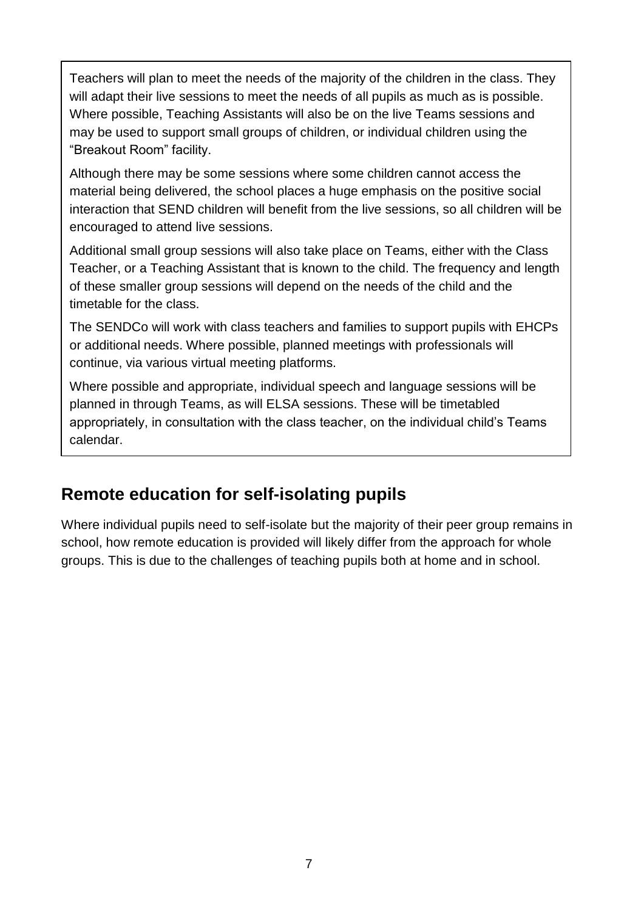Teachers will plan to meet the needs of the majority of the children in the class. They will adapt their live sessions to meet the needs of all pupils as much as is possible. Where possible, Teaching Assistants will also be on the live Teams sessions and may be used to support small groups of children, or individual children using the "Breakout Room" facility.

Although there may be some sessions where some children cannot access the material being delivered, the school places a huge emphasis on the positive social interaction that SEND children will benefit from the live sessions, so all children will be encouraged to attend live sessions.

Additional small group sessions will also take place on Teams, either with the Class Teacher, or a Teaching Assistant that is known to the child. The frequency and length of these smaller group sessions will depend on the needs of the child and the timetable for the class.

The SENDCo will work with class teachers and families to support pupils with EHCPs or additional needs. Where possible, planned meetings with professionals will continue, via various virtual meeting platforms.

Where possible and appropriate, individual speech and language sessions will be planned in through Teams, as will ELSA sessions. These will be timetabled appropriately, in consultation with the class teacher, on the individual child's Teams calendar.

## **Remote education for self-isolating pupils**

Where individual pupils need to self-isolate but the majority of their peer group remains in school, how remote education is provided will likely differ from the approach for whole groups. This is due to the challenges of teaching pupils both at home and in school.